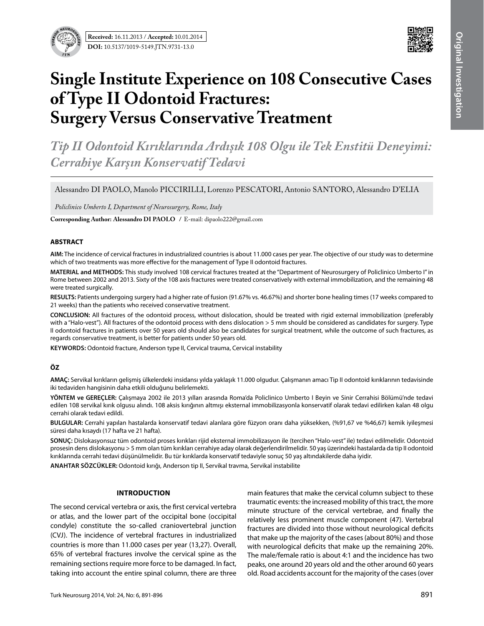



# **Single Institute Experience on 108 Consecutive Cases of Type II Odontoid Fractures: Surgery Versus Conservative Treatment**

*Tip II Odontoid Kırıklarında Ardışık 108 Olgu ile Tek Enstitü Deneyimi: Cerrahiye Karşın Konservatif Tedavi* 

Alessandro DI PAOLO, Manolo PICCIRILLI, Lorenzo PESCATORI, Antonio SANTORO, Alessandro D'ELIA

*Policlinico Umberto I, Department of Neurosurgery, Rome, Italy*

**Corresponding Author: Alessandro DI Paolo /** E-mail: dipaolo222@gmail.com

#### **ABSTRACT**

**AIM:** The incidence of cervical fractures in industrialized countries is about 11.000 cases per year. The objective of our study was to determine which of two treatments was more effective for the management of Type II odontoid fractures.

**MATERIAL and METHODS:** This study involved 108 cervical fractures treated at the "Department of Neurosurgery of Policlinico Umberto I" in Rome between 2002 and 2013. Sixty of the 108 axis fractures were treated conservatively with external immobilization, and the remaining 48 were treated surgically.

**RESULTS:** Patients undergoing surgery had a higher rate of fusion (91.67% vs. 46.67%) and shorter bone healing times (17 weeks compared to 21 weeks) than the patients who received conservative treatment.

**CONCLUSION:** All fractures of the odontoid process, without dislocation, should be treated with rigid external immobilization (preferably with a "Halo-vest"). All fractures of the odontoid process with dens dislocation > 5 mm should be considered as candidates for surgery. Type II odontoid fractures in patients over 50 years old should also be candidates for surgical treatment, while the outcome of such fractures, as regards conservative treatment, is better for patients under 50 years old.

**Keywords:** Odontoid fracture, Anderson type II, Cervical trauma, Cervical instability

## **ÖZ**

**AMAÇ:** Servikal kırıkların gelişmiş ülkelerdeki insidansı yılda yaklaşık 11.000 olgudur. Çalışmanın amacı Tip II odontoid kırıklarının tedavisinde iki tedaviden hangisinin daha etkili olduğunu belirlemekti.

**YÖNTEM ve GEREÇLER:** Çalışmaya 2002 ile 2013 yılları arasında Roma'da Policlinico Umberto I Beyin ve Sinir Cerrahisi Bölümü'nde tedavi edilen 108 servikal kırık olgusu alındı. 108 aksis kırığının altmışı eksternal immobilizasyonla konservatif olarak tedavi edilirken kalan 48 olgu cerrahi olarak tedavi edildi.

**BULGULAR:** Cerrahi yapılan hastalarda konservatif tedavi alanlara göre füzyon oranı daha yüksekken, (%91,67 ve %46,67) kemik iyileşmesi süresi daha kısaydı (17 hafta ve 21 hafta).

**SONUÇ:** Dislokasyonsuz tüm odontoid proses kırıkları rijid eksternal immobilizasyon ile (tercihen "Halo-vest" ile) tedavi edilmelidir. Odontoid prosesin dens dislokasyonu > 5 mm olan tüm kırıkları cerrahiye aday olarak değerlendirilmelidir. 50 yaş üzerindeki hastalarda da tip II odontoid kırıklarında cerrahi tedavi düşünülmelidir. Bu tür kırıklarda konservatif tedaviyle sonuç 50 yaş altındakilerde daha iyidir.

**ANAHTAR SÖZCÜKLER:** Odontoid kırığı, Anderson tip II, Servikal travma, Servikal instabilite

## **Introduction**

The second cervical vertebra or axis, the first cervical vertebra or atlas, and the lower part of the occipital bone (occipital condyle) constitute the so-called craniovertebral junction (CVJ). The incidence of vertebral fractures in industrialized countries is more than 11.000 cases per year (13,27). Overall, 65% of vertebral fractures involve the cervical spine as the remaining sections require more force to be damaged. In fact, taking into account the entire spinal column, there are three main features that make the cervical column subject to these traumatic events: the increased mobility of this tract, the more minute structure of the cervical vertebrae, and finally the relatively less prominent muscle component (47). Vertebral fractures are divided into those without neurological deficits that make up the majority of the cases (about 80%) and those with neurological deficits that make up the remaining 20%. The male/female ratio is about 4:1 and the incidence has two peaks, one around 20 years old and the other around 60 years old. Road accidents account for the majority of the cases (over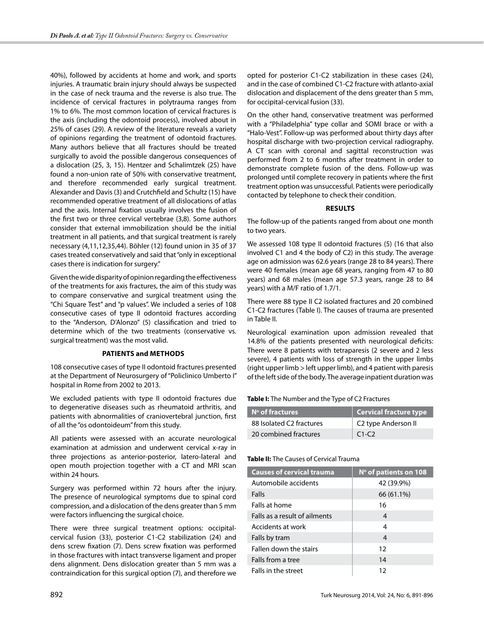40%), followed by accidents at home and work, and sports injuries. A traumatic brain injury should always be suspected in the case of neck trauma and the reverse is also true. The incidence of cervical fractures in polytrauma ranges from 1% to 6%. The most common location of cervical fractures is the axis (including the odontoid process), involved about in 25% of cases (29). A review of the literature reveals a variety of opinions regarding the treatment of odontoid fractures. Many authors believe that all fractures should be treated surgically to avoid the possible dangerous consequences of a dislocation (25, 3, 15). Hentzer and Schalimtzek (25) have found a non-union rate of 50% with conservative treatment, and therefore recommended early surgical treatment. Alexander and Davis (3) and Crutchfield and Schultz (15) have recommended operative treatment of all dislocations of atlas and the axis. Internal fixation usually involves the fusion of the first two or three cervical vertebrae (3,8). Some authors consider that external immobilization should be the initial treatment in all patients, and that surgical treatment is rarely necessary (4,11,12,35,44). Böhler (12) found union in 35 of 37 cases treated conservatively and said that "only in exceptional cases there is indication for surgery."

Given the wide disparity of opinion regarding the effectiveness of the treatments for axis fractures, the aim of this study was to compare conservative and surgical treatment using the "Chi Square Test" and "p values". We included a series of 108 consecutive cases of type II odontoid fractures according to the "Anderson, D'Alonzo" (5) classification and tried to determine which of the two treatments (conservative vs. surgical treatment) was the most valid.

## **Patients and Methods**

108 consecutive cases of type II odontoid fractures presented at the Department of Neurosurgery of "Policlinico Umberto I" hospital in Rome from 2002 to 2013.

We excluded patients with type II odontoid fractures due to degenerative diseases such as rheumatoid arthritis, and patients with abnormalities of craniovertebral junction, first of all the "os odontoideum" from this study.

All patients were assessed with an accurate neurological examination at admission and underwent cervical x-ray in three projections as anterior-posterior, latero-lateral and open mouth projection together with a CT and MRI scan within 24 hours.

Surgery was performed within 72 hours after the injury. The presence of neurological symptoms due to spinal cord compression, and a dislocation of the dens greater than 5 mm were factors influencing the surgical choice.

There were three surgical treatment options: occipitalcervical fusion (33), posterior C1-C2 stabilization (24) and dens screw fixation (7). Dens screw fixation was performed in those fractures with intact transverse ligament and proper dens alignment. Dens dislocation greater than 5 mm was a contraindication for this surgical option (7), and therefore we

opted for posterior C1-C2 stabilization in these cases (24), and in the case of combined C1-C2 fracture with atlanto-axial dislocation and displacement of the dens greater than 5 mm, for occipital-cervical fusion (33).

On the other hand, conservative treatment was performed with a "Philadelphia" type collar and SOMI brace or with a "Halo-Vest". Follow-up was performed about thirty days after hospital discharge with two-projection cervical radiography. A CT scan with coronal and sagittal reconstruction was performed from 2 to 6 months after treatment in order to demonstrate complete fusion of the dens. Follow-up was prolonged until complete recovery in patients where the first treatment option was unsuccessful. Patients were periodically contacted by telephone to check their condition.

# **Results**

The follow-up of the patients ranged from about one month to two years.

We assessed 108 type II odontoid fractures (5) (16 that also involved C1 and 4 the body of C2) in this study. The average age on admission was 62.6 years (range 28 to 84 years). There were 40 females (mean age 68 years, ranging from 47 to 80 years) and 68 males (mean age 57.3 years, range 28 to 84 years) with a M/F ratio of 1.7/1.

There were 88 type II C2 isolated fractures and 20 combined C1-C2 fractures (Table I). The causes of trauma are presented in Table II.

Neurological examination upon admission revealed that 14.8% of the patients presented with neurological deficits: There were 8 patients with tetraparesis (2 severe and 2 less severe), 4 patients with loss of strength in the upper limbs (right upper limb > left upper limb), and 4 patient with paresis of the left side of the body. The average inpatient duration was

# **Table I:** The Number and the Type of C2 Fractures

| N° of fractures          | <b>Cervical fracture type</b> |
|--------------------------|-------------------------------|
| 88 Isolated C2 fractures | C2 type Anderson II           |
| 20 combined fractures    | $C1-C2$                       |

## **Table II:** The Causes of Cervical Trauma

| <b>Causes of cervical trauma</b> | N° of patients on 108 |
|----------------------------------|-----------------------|
| Automobile accidents             | 42 (39.9%)            |
| Falls                            | 66 (61.1%)            |
| Falls at home                    | 16                    |
| Falls as a result of ailments    | $\overline{4}$        |
| Accidents at work                | 4                     |
| Falls by tram                    | $\overline{4}$        |
| Fallen down the stairs           | 12                    |
| Falls from a tree                | 14                    |
| Falls in the street              | 12                    |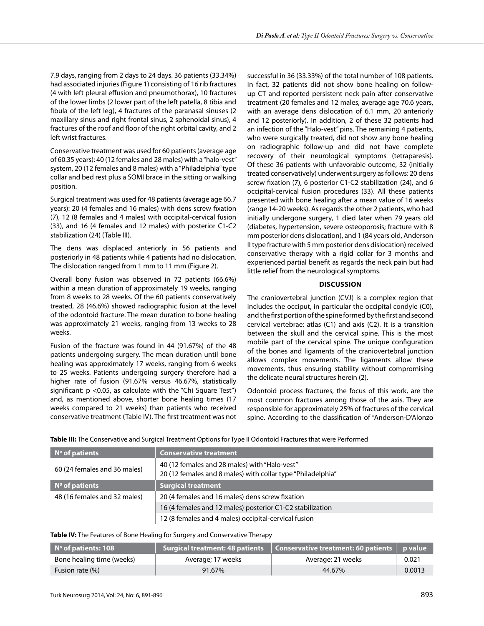7.9 days, ranging from 2 days to 24 days. 36 patients (33.34%) had associated injuries (Figure 1) consisting of 16 rib fractures (4 with left pleural effusion and pneumothorax), 10 fractures of the lower limbs (2 lower part of the left patella, 8 tibia and fibula of the left leg), 4 fractures of the paranasal sinuses (2 maxillary sinus and right frontal sinus, 2 sphenoidal sinus), 4 fractures of the roof and floor of the right orbital cavity, and 2 left wrist fractures.

Conservative treatment was used for 60 patients (average age of 60.35 years): 40 (12 females and 28 males) with a "halo-vest" system, 20 (12 females and 8 males) with a "Philadelphia" type collar and bed rest plus a SOMI brace in the sitting or walking position.

Surgical treatment was used for 48 patients (average age 66.7 years): 20 (4 females and 16 males) with dens screw fixation (7), 12 (8 females and 4 males) with occipital-cervical fusion (33), and 16 (4 females and 12 males) with posterior C1-C2 stabilization (24) (Table III).

The dens was displaced anteriorly in 56 patients and posteriorly in 48 patients while 4 patients had no dislocation. The dislocation ranged from 1 mm to 11 mm (Figure 2).

Overall bony fusion was observed in 72 patients (66.6%) within a mean duration of approximately 19 weeks, ranging from 8 weeks to 28 weeks. Of the 60 patients conservatively treated, 28 (46.6%) showed radiographic fusion at the level of the odontoid fracture. The mean duration to bone healing was approximately 21 weeks, ranging from 13 weeks to 28 weeks.

Fusion of the fracture was found in 44 (91.67%) of the 48 patients undergoing surgery. The mean duration until bone healing was approximately 17 weeks, ranging from 6 weeks to 25 weeks. Patients undergoing surgery therefore had a higher rate of fusion (91.67% versus 46.67%, statistically significant: p <0.05, as calculate with the "Chi Square Test") and, as mentioned above, shorter bone healing times (17 weeks compared to 21 weeks) than patients who received conservative treatment (Table IV). The first treatment was not

successful in 36 (33.33%) of the total number of 108 patients. In fact, 32 patients did not show bone healing on followup CT and reported persistent neck pain after conservative treatment (20 females and 12 males, average age 70.6 years, with an average dens dislocation of 6.1 mm, 20 anteriorly and 12 posteriorly). In addition, 2 of these 32 patients had an infection of the "Halo-vest" pins. The remaining 4 patients, who were surgically treated, did not show any bone healing on radiographic follow-up and did not have complete recovery of their neurological symptoms (tetraparesis). Of these 36 patients with unfavorable outcome, 32 (initially treated conservatively) underwent surgery as follows: 20 dens screw fixation (7), 6 posterior C1-C2 stabilization (24), and 6 occipital-cervical fusion procedures (33). All these patients presented with bone healing after a mean value of 16 weeks (range 14-20 weeks). As regards the other 2 patients, who had initially undergone surgery, 1 died later when 79 years old (diabetes, hypertension, severe osteoporosis; fracture with 8 mm posterior dens dislocation), and 1 (84 years old, Anderson II type fracture with 5 mm posterior dens dislocation) received conservative therapy with a rigid collar for 3 months and experienced partial benefit as regards the neck pain but had little relief from the neurological symptoms.

# **Discussion**

The craniovertebral junction (CVJ) is a complex region that includes the occiput, in particular the occipital condyle (C0), and the first portion of the spine formed by the first and second cervical vertebrae: atlas (C1) and axis (C2). It is a transition between the skull and the cervical spine. This is the most mobile part of the cervical spine. The unique configuration of the bones and ligaments of the craniovertebral junction allows complex movements. The ligaments allow these movements, thus ensuring stability without compromising the delicate neural structures herein (2).

Odontoid process fractures, the focus of this work, are the most common fractures among those of the axis. They are responsible for approximately 25% of fractures of the cervical spine. According to the classification of "Anderson-D'Alonzo

**Table III:** The Conservative and Surgical Treatment Options for Type II Odontoid Fractures that were Performed

| $\blacksquare$ N° of patients         | <b>Conservative treatment</b>                                                                                |
|---------------------------------------|--------------------------------------------------------------------------------------------------------------|
| 60 (24 females and 36 males)          | 40 (12 females and 28 males) with "Halo-vest"<br>20 (12 females and 8 males) with collar type "Philadelphia" |
| $\mathsf{N}^{\mathsf{o}}$ of patients | <b>Surgical treatment</b>                                                                                    |
| 48 (16 females and 32 males)          | 20 (4 females and 16 males) dens screw fixation                                                              |
|                                       | 16 (4 females and 12 males) posterior C1-C2 stabilization                                                    |
|                                       | 12 (8 females and 4 males) occipital-cervical fusion                                                         |

## **Table IV:** The Features of Bone Healing for Surgery and Conservative Therapy

| $\blacksquare$ N° of patients: 108 | <b>Surgical treatment: 48 patients</b> | $\vert$ Conservative treatment: 60 patients $\vert$ p value |        |
|------------------------------------|----------------------------------------|-------------------------------------------------------------|--------|
| Bone healing time (weeks)          | Average; 17 weeks                      | Average; 21 weeks                                           | 0.021  |
| Fusion rate (%)                    | 91.67%                                 | 44.67%                                                      | 0.0013 |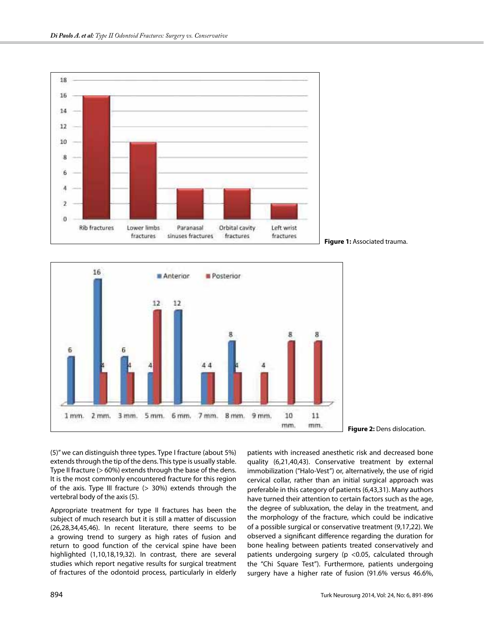





**Figure 2:** Dens dislocation.

(5)" we can distinguish three types. Type I fracture (about 5%) extends through the tip of the dens. This type is usually stable. Type II fracture (> 60%) extends through the base of the dens. It is the most commonly encountered fracture for this region of the axis. Type III fracture  $(> 30%)$  extends through the vertebral body of the axis (5).

Appropriate treatment for type II fractures has been the subject of much research but it is still a matter of discussion (26,28,34,45,46). In recent literature, there seems to be a growing trend to surgery as high rates of fusion and return to good function of the cervical spine have been highlighted (1,10,18,19,32). In contrast, there are several studies which report negative results for surgical treatment of fractures of the odontoid process, particularly in elderly

patients with increased anesthetic risk and decreased bone quality (6,21,40,43). Conservative treatment by external immobilization ("Halo-Vest") or, alternatively, the use of rigid cervical collar, rather than an initial surgical approach was preferable in this category of patients (6,43,31). Many authors have turned their attention to certain factors such as the age, the degree of subluxation, the delay in the treatment, and the morphology of the fracture, which could be indicative of a possible surgical or conservative treatment (9,17,22). We observed a significant difference regarding the duration for bone healing between patients treated conservatively and patients undergoing surgery (p <0.05, calculated through the "Chi Square Test"). Furthermore, patients undergoing surgery have a higher rate of fusion (91.6% versus 46.6%,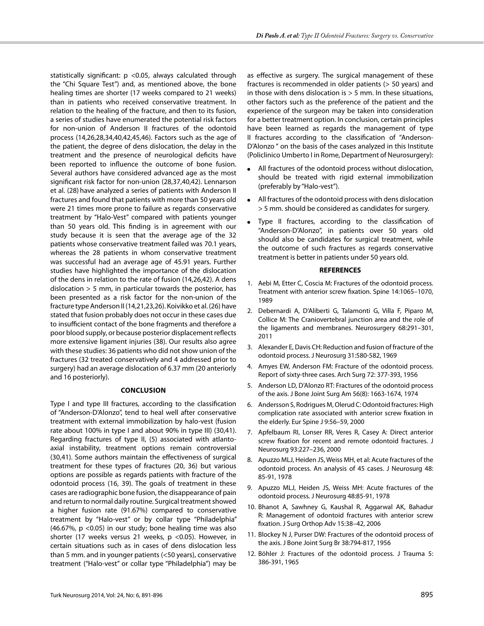statistically significant: p <0.05, always calculated through the "Chi Square Test") and, as mentioned above, the bone healing times are shorter (17 weeks compared to 21 weeks) than in patients who received conservative treatment. In relation to the healing of the fracture, and then to its fusion, a series of studies have enumerated the potential risk factors for non-union of Anderson II fractures of the odontoid process (14,26,28,34,40,42,45,46). Factors such as the age of the patient, the degree of dens dislocation, the delay in the treatment and the presence of neurological deficits have been reported to influence the outcome of bone fusion. Several authors have considered advanced age as the most significant risk factor for non-union (28,37,40,42). Lennarson et al. (28) have analyzed a series of patients with Anderson II fractures and found that patients with more than 50 years old were 21 times more prone to failure as regards conservative treatment by "Halo-Vest" compared with patients younger than 50 years old. This finding is in agreement with our study because it is seen that the average age of the 32 patients whose conservative treatment failed was 70.1 years, whereas the 28 patients in whom conservative treatment was successful had an average age of 45.91 years. Further studies have highlighted the importance of the dislocation of the dens in relation to the rate of fusion (14,26,42). A dens dislocation > 5 mm, in particular towards the posterior, has been presented as a risk factor for the non-union of the fracture type Anderson II (14,21,23,26). Koivikko et al. (26) have stated that fusion probably does not occur in these cases due to insufficient contact of the bone fragments and therefore a poor blood supply, or because posterior displacement reflects more extensive ligament injuries (38). Our results also agree with these studies: 36 patients who did not show union of the fractures (32 treated conservatively and 4 addressed prior to surgery) had an average dislocation of 6.37 mm (20 anteriorly and 16 posteriorly).

#### **Conclusion**

Type I and type III fractures, according to the classification of "Anderson-D'Alonzo", tend to heal well after conservative treatment with external immobilization by halo-vest (fusion rate about 100% in type I and about 90% in type III) (30,41). Regarding fractures of type II, (5) associated with atlantoaxial instability, treatment options remain controversial (30,41). Some authors maintain the effectiveness of surgical treatment for these types of fractures (20, 36) but various options are possible as regards patients with fracture of the odontoid process (16, 39). The goals of treatment in these cases are radiographic bone fusion, the disappearance of pain and return to normal daily routine. Surgical treatment showed a higher fusion rate (91.67%) compared to conservative treatment by "Halo-vest" or by collar type "Philadelphia" (46.67%, p <0.05) in our study; bone healing time was also shorter (17 weeks versus 21 weeks, p <0.05). However, in certain situations such as in cases of dens dislocation less than 5 mm. and in younger patients (<50 years), conservative treatment ("Halo-vest" or collar type "Philadelphia") may be

as effective as surgery. The surgical management of these fractures is recommended in older patients (> 50 years) and in those with dens dislocation is  $> 5$  mm. In these situations, other factors such as the preference of the patient and the experience of the surgeon may be taken into consideration for a better treatment option. In conclusion, certain principles have been learned as regards the management of type II fractures according to the classification of "Anderson-D'Alonzo " on the basis of the cases analyzed in this Institute (Policlinico Umberto I in Rome, Department of Neurosurgery):

- All fractures of the odontoid process without dislocation, should be treated with rigid external immobilization (preferably by "Halo-vest").
- All fractures of the odontoid process with dens dislocation > 5 mm. should be considered as candidates for surgery.
- Type II fractures, according to the classification of "Anderson-D'Alonzo", in patients over 50 years old should also be candidates for surgical treatment, while the outcome of such fractures as regards conservative treatment is better in patients under 50 years old.

#### **REFERENCES**

- 1. Aebi M, Etter C, Coscia M: Fractures of the odontoid process. Treatment with anterior screw fixation. Spine 14:1065–1070, 1989
- 2. Debernardi A, D'Aliberti G, Talamonti G, Villa F, Piparo M, Collice M: The Craniovertebral junction area and the role of the ligaments and membranes. Neurosurgery 68:291–301, 2011
- 3. Alexander E, Davis CH: Reduction and fusion of fracture of the odontoid process. J Neurosurg 31:580-582, 1969
- 4. Amyes EW, Anderson FM: Fracture of the odontoid process. Report of sixty-three cases. Arch Surg 72: 377-393, 1956
- 5. Anderson LD, D'Alonzo RT: Fractures of the odontoid process of the axis. J Bone Joint Surg Am 56(8): 1663-1674, 1974
- 6. Andersson S, Rodrigues M, Olerud C: Odontoid fractures: High complication rate associated with anterior screw fixation in the elderly. Eur Spine J 9:56–59, 2000
- 7. Apfelbaum RI, Lonser RR, Veres R, Casey A: Direct anterior screw fixation for recent and remote odontoid fractures. J Neurosurg 93:227–236, 2000
- 8. Apuzzo MLJ, Heiden JS, Weiss MH, et al: Acute fractures of the odontoid process. An analysis of 45 cases. J Neurosurg 48: 85-91, 1978
- 9. Apuzzo MLJ, Heiden JS, Weiss MH: Acute fractures of the odontoid process. J Neurosurg 48:85-91, 1978
- 10. Bhanot A, Sawhney G, Kaushal R, Aggarwal AK, Bahadur R: Management of odontoid fractures with anterior screw fixation. J Surg Orthop Adv 15:38–42, 2006
- 11. Blockey N J, Purser DW: Fractures of the odontoid process of the axis. J Bone Joint Surg Br 38:794-817, 1956
- 12. Böhler J: Fractures of the odontoid process. J Trauma 5: 386-391, 1965